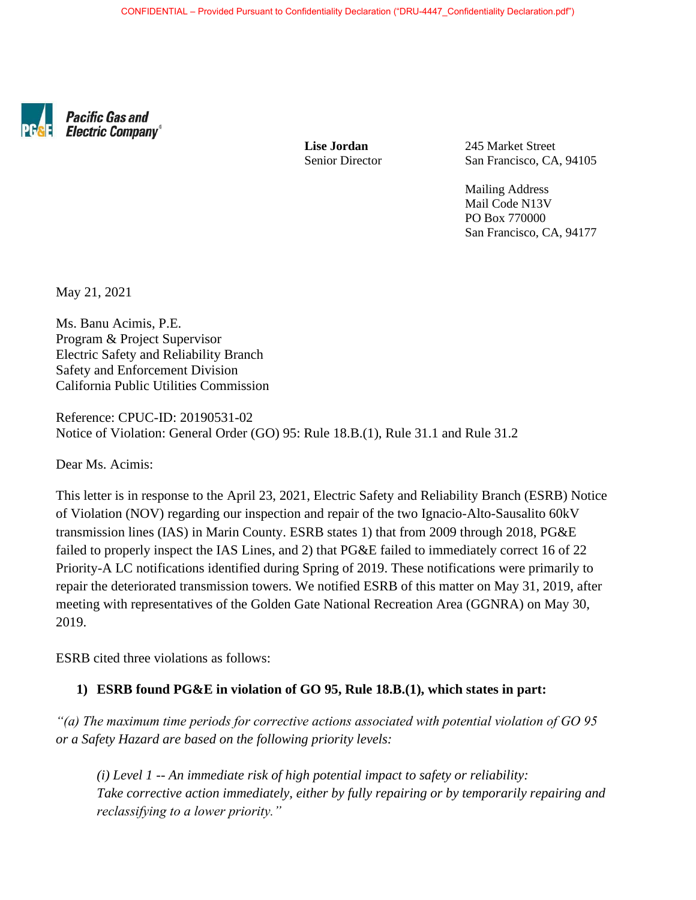

**Pacific Gas and Electric Company®** 

 **Lise Jordan** 245 Market Street Senior Director San Francisco, CA, 94105

> Mailing Address Mail Code N13V PO Box 770000 San Francisco, CA, 94177

May 21, 2021

Ms. Banu Acimis, P.E. Program & Project Supervisor Electric Safety and Reliability Branch Safety and Enforcement Division California Public Utilities Commission

Reference: CPUC-ID: 20190531-02 Notice of Violation: General Order (GO) 95: Rule 18.B.(1), Rule 31.1 and Rule 31.2

Dear Ms. Acimis:

This letter is in response to the April 23, 2021, Electric Safety and Reliability Branch (ESRB) Notice of Violation (NOV) regarding our inspection and repair of the two Ignacio-Alto-Sausalito 60kV transmission lines (IAS) in Marin County. ESRB states 1) that from 2009 through 2018, PG&E failed to properly inspect the IAS Lines, and 2) that PG&E failed to immediately correct 16 of 22 Priority-A LC notifications identified during Spring of 2019. These notifications were primarily to repair the deteriorated transmission towers. We notified ESRB of this matter on May 31, 2019, after meeting with representatives of the Golden Gate National Recreation Area (GGNRA) on May 30, 2019.

ESRB cited three violations as follows:

#### **1) ESRB found PG&E in violation of GO 95, Rule 18.B.(1), which states in part:**

*"(a) The maximum time periods for corrective actions associated with potential violation of GO 95 or a Safety Hazard are based on the following priority levels:* 

*(i) Level 1 -- An immediate risk of high potential impact to safety or reliability: Take corrective action immediately, either by fully repairing or by temporarily repairing and reclassifying to a lower priority."*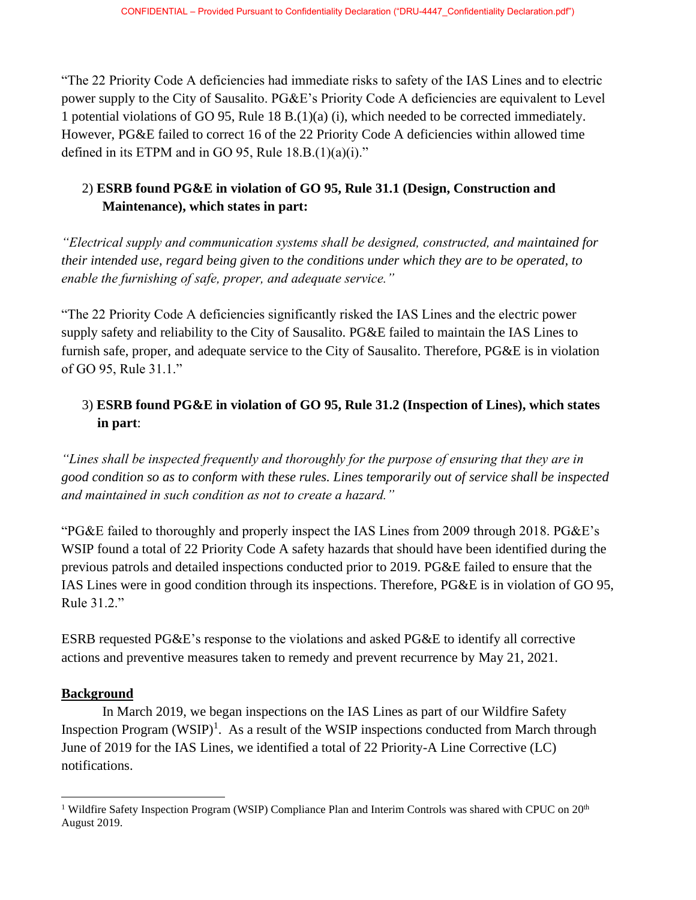"The 22 Priority Code A deficiencies had immediate risks to safety of the IAS Lines and to electric power supply to the City of Sausalito. PG&E's Priority Code A deficiencies are equivalent to Level 1 potential violations of GO 95, Rule 18 B.(1)(a) (i), which needed to be corrected immediately. However, PG&E failed to correct 16 of the 22 Priority Code A deficiencies within allowed time defined in its ETPM and in GO 95, Rule  $18.B.(1)(a)(i)$ ."

# 2) **ESRB found PG&E in violation of GO 95, Rule 31.1 (Design, Construction and Maintenance), which states in part:**

*"Electrical supply and communication systems shall be designed, constructed, and maintained for their intended use, regard being given to the conditions under which they are to be operated, to enable the furnishing of safe, proper, and adequate service."*

"The 22 Priority Code A deficiencies significantly risked the IAS Lines and the electric power supply safety and reliability to the City of Sausalito. PG&E failed to maintain the IAS Lines to furnish safe, proper, and adequate service to the City of Sausalito. Therefore, PG&E is in violation of GO 95, Rule 31.1."

# 3) **ESRB found PG&E in violation of GO 95, Rule 31.2 (Inspection of Lines), which states in part**:

*"Lines shall be inspected frequently and thoroughly for the purpose of ensuring that they are in good condition so as to conform with these rules. Lines temporarily out of service shall be inspected and maintained in such condition as not to create a hazard."*

"PG&E failed to thoroughly and properly inspect the IAS Lines from 2009 through 2018. PG&E's WSIP found a total of 22 Priority Code A safety hazards that should have been identified during the previous patrols and detailed inspections conducted prior to 2019. PG&E failed to ensure that the IAS Lines were in good condition through its inspections. Therefore, PG&E is in violation of GO 95, Rule 31.2."

ESRB requested PG&E's response to the violations and asked PG&E to identify all corrective actions and preventive measures taken to remedy and prevent recurrence by May 21, 2021.

### **Background**

In March 2019, we began inspections on the IAS Lines as part of our Wildfire Safety Inspection Program (WSIP)<sup>1</sup>. As a result of the WSIP inspections conducted from March through June of 2019 for the IAS Lines, we identified a total of 22 Priority-A Line Corrective (LC) notifications.

<sup>&</sup>lt;sup>1</sup> Wildfire Safety Inspection Program (WSIP) Compliance Plan and Interim Controls was shared with CPUC on  $20<sup>th</sup>$ August 2019.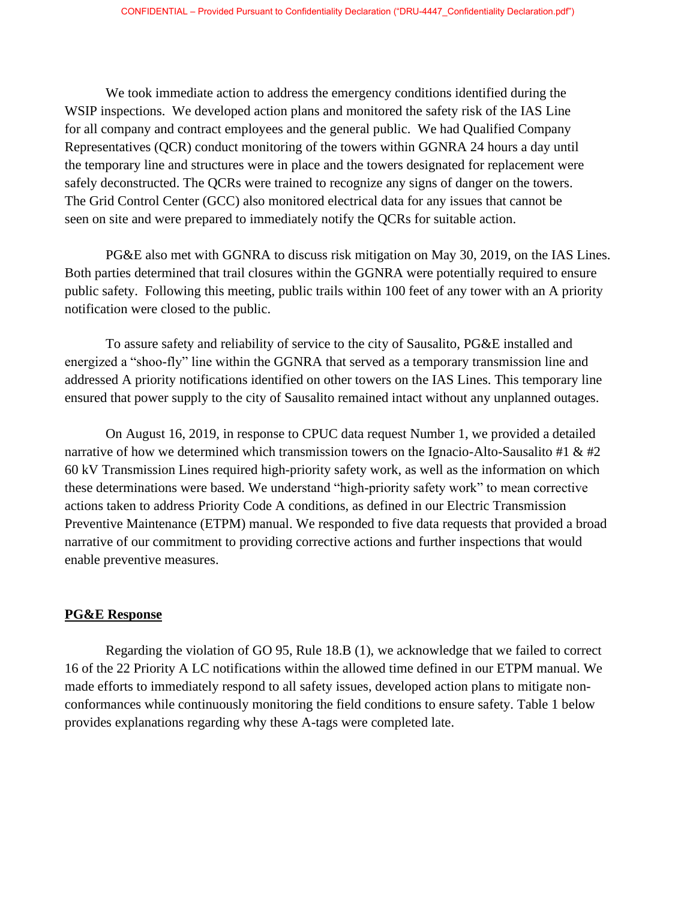We took immediate action to address the emergency conditions identified during the WSIP inspections. We developed action plans and monitored the safety risk of the IAS Line for all company and contract employees and the general public. We had Qualified Company Representatives (QCR) conduct monitoring of the towers within GGNRA 24 hours a day until the temporary line and structures were in place and the towers designated for replacement were safely deconstructed. The QCRs were trained to recognize any signs of danger on the towers. The Grid Control Center (GCC) also monitored electrical data for any issues that cannot be seen on site and were prepared to immediately notify the QCRs for suitable action.

PG&E also met with GGNRA to discuss risk mitigation on May 30, 2019, on the IAS Lines. Both parties determined that trail closures within the GGNRA were potentially required to ensure public safety. Following this meeting, public trails within 100 feet of any tower with an A priority notification were closed to the public.

To assure safety and reliability of service to the city of Sausalito, PG&E installed and energized a "shoo-fly" line within the GGNRA that served as a temporary transmission line and addressed A priority notifications identified on other towers on the IAS Lines. This temporary line ensured that power supply to the city of Sausalito remained intact without any unplanned outages.

On August 16, 2019, in response to CPUC data request Number 1, we provided a detailed narrative of how we determined which transmission towers on the Ignacio-Alto-Sausalito #1  $\&$  #2 60 kV Transmission Lines required high-priority safety work, as well as the information on which these determinations were based. We understand "high-priority safety work" to mean corrective actions taken to address Priority Code A conditions, as defined in our Electric Transmission Preventive Maintenance (ETPM) manual. We responded to five data requests that provided a broad narrative of our commitment to providing corrective actions and further inspections that would enable preventive measures.

#### **PG&E Response**

Regarding the violation of GO 95, Rule 18.B (1), we acknowledge that we failed to correct 16 of the 22 Priority A LC notifications within the allowed time defined in our ETPM manual. We made efforts to immediately respond to all safety issues, developed action plans to mitigate nonconformances while continuously monitoring the field conditions to ensure safety. Table 1 below provides explanations regarding why these A-tags were completed late.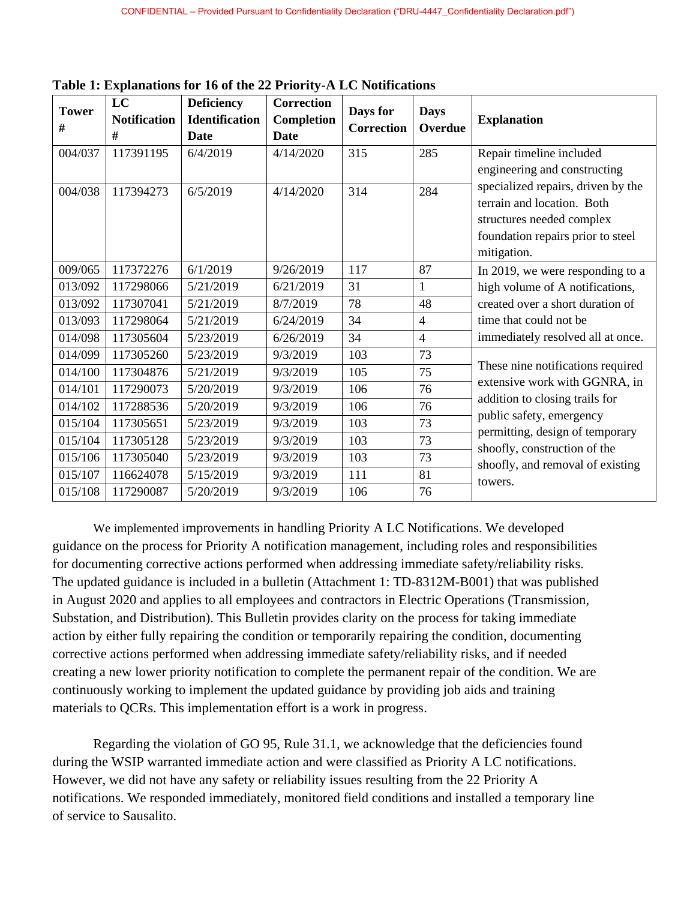| <b>Tower</b><br>$\#$ | LC<br><b>Notification</b><br># | <b>Deficiency</b><br><b>Identification</b><br>Date | <b>Correction</b><br><b>Completion</b><br>Date | Days for<br><b>Correction</b> | <b>Days</b><br>Overdue | <b>Explanation</b>                                                                                                                                                                                                                                 |
|----------------------|--------------------------------|----------------------------------------------------|------------------------------------------------|-------------------------------|------------------------|----------------------------------------------------------------------------------------------------------------------------------------------------------------------------------------------------------------------------------------------------|
| 004/037              | 117391195                      | 6/4/2019                                           | 4/14/2020                                      | 315                           | 285                    | Repair timeline included<br>engineering and constructing<br>specialized repairs, driven by the<br>terrain and location. Both<br>structures needed complex<br>foundation repairs prior to steel<br>mitigation.                                      |
| 004/038              | 117394273                      | 6/5/2019                                           | 4/14/2020                                      | 314                           | 284                    |                                                                                                                                                                                                                                                    |
| 009/065              | 117372276                      | 6/1/2019                                           | 9/26/2019                                      | 117                           | 87                     | In 2019, we were responding to a<br>high volume of A notifications,<br>created over a short duration of<br>time that could not be<br>immediately resolved all at once.                                                                             |
| 013/092              | 117298066                      | 5/21/2019                                          | 6/21/2019                                      | 31                            | $\mathbf{1}$           |                                                                                                                                                                                                                                                    |
| 013/092              | 117307041                      | 5/21/2019                                          | 8/7/2019                                       | 78                            | 48                     |                                                                                                                                                                                                                                                    |
| 013/093              | 117298064                      | 5/21/2019                                          | 6/24/2019                                      | 34                            | $\overline{4}$         |                                                                                                                                                                                                                                                    |
| 014/098              | 117305604                      | 5/23/2019                                          | 6/26/2019                                      | 34                            | $\overline{4}$         |                                                                                                                                                                                                                                                    |
| 014/099              | 117305260                      | 5/23/2019                                          | 9/3/2019                                       | 103                           | 73                     | These nine notifications required<br>extensive work with GGNRA, in<br>addition to closing trails for<br>public safety, emergency<br>permitting, design of temporary<br>shoofly, construction of the<br>shoofly, and removal of existing<br>towers. |
| 014/100              | 117304876                      | 5/21/2019                                          | 9/3/2019                                       | 105                           | 75                     |                                                                                                                                                                                                                                                    |
| 014/101              | 117290073                      | 5/20/2019                                          | 9/3/2019                                       | 106                           | 76                     |                                                                                                                                                                                                                                                    |
| 014/102              | 117288536                      | 5/20/2019                                          | 9/3/2019                                       | 106                           | 76                     |                                                                                                                                                                                                                                                    |
| 015/104              | 117305651                      | 5/23/2019                                          | 9/3/2019                                       | 103                           | 73                     |                                                                                                                                                                                                                                                    |
| 015/104              | 117305128                      | 5/23/2019                                          | 9/3/2019                                       | 103                           | 73                     |                                                                                                                                                                                                                                                    |
| 015/106              | 117305040                      | 5/23/2019                                          | 9/3/2019                                       | 103                           | 73                     |                                                                                                                                                                                                                                                    |
| 015/107              | 116624078                      | 5/15/2019                                          | 9/3/2019                                       | 111                           | 81                     |                                                                                                                                                                                                                                                    |
| 015/108              | 117290087                      | 5/20/2019                                          | 9/3/2019                                       | 106                           | 76                     |                                                                                                                                                                                                                                                    |

**Table 1: Explanations for 16 of the 22 Priority-A LC Notifications**

We implemented improvements in handling Priority A LC Notifications. We developed guidance on the process for Priority A notification management, including roles and responsibilities for documenting corrective actions performed when addressing immediate safety/reliability risks. The updated guidance is included in a bulletin (Attachment 1: TD-8312M-B001) that was published in August 2020 and applies to all employees and contractors in Electric Operations (Transmission, Substation, and Distribution). This Bulletin provides clarity on the process for taking immediate action by either fully repairing the condition or temporarily repairing the condition, documenting corrective actions performed when addressing immediate safety/reliability risks, and if needed creating a new lower priority notification to complete the permanent repair of the condition. We are continuously working to implement the updated guidance by providing job aids and training materials to QCRs. This implementation effort is a work in progress.

Regarding the violation of GO 95, Rule 31.1, we acknowledge that the deficiencies found during the WSIP warranted immediate action and were classified as Priority A LC notifications. However, we did not have any safety or reliability issues resulting from the 22 Priority A notifications. We responded immediately, monitored field conditions and installed a temporary line of service to Sausalito.